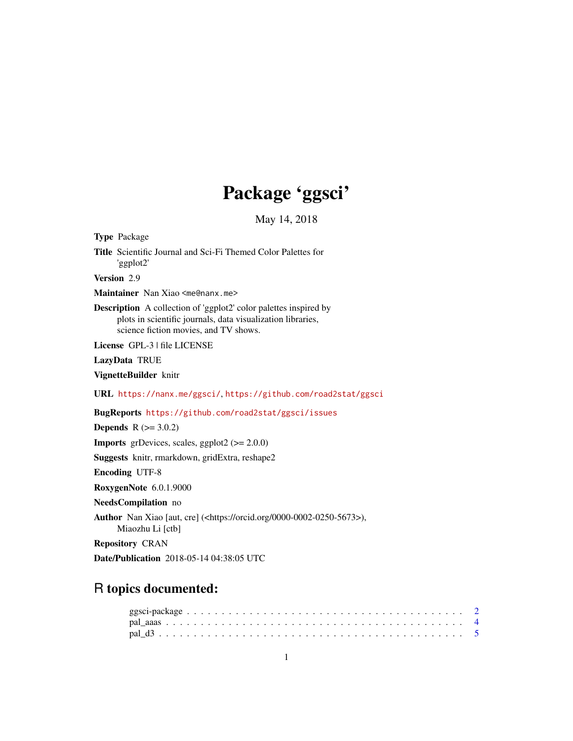# Package 'ggsci'

May 14, 2018

<span id="page-0-0"></span>Type Package Title Scientific Journal and Sci-Fi Themed Color Palettes for 'ggplot2' Version 2.9 Maintainer Nan Xiao <me@nanx.me> Description A collection of 'ggplot2' color palettes inspired by plots in scientific journals, data visualization libraries, science fiction movies, and TV shows. License GPL-3 | file LICENSE LazyData TRUE VignetteBuilder knitr URL <https://nanx.me/ggsci/>, <https://github.com/road2stat/ggsci> BugReports <https://github.com/road2stat/ggsci/issues> **Depends**  $R$  ( $>= 3.0.2$ ) **Imports** grDevices, scales, ggplot2  $(>= 2.0.0)$ Suggests knitr, rmarkdown, gridExtra, reshape2 Encoding UTF-8 RoxygenNote 6.0.1.9000 NeedsCompilation no Author Nan Xiao [aut, cre] (<https://orcid.org/0000-0002-0250-5673>), Miaozhu Li [ctb] Repository CRAN Date/Publication 2018-05-14 04:38:05 UTC

# R topics documented: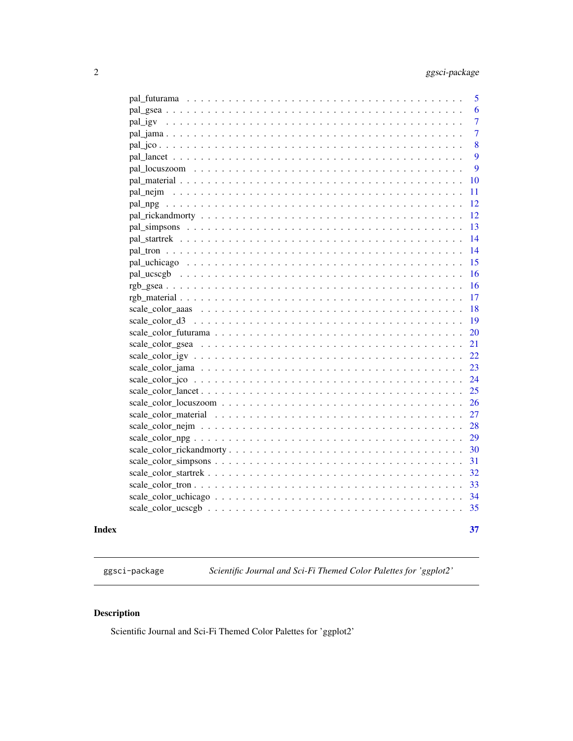<span id="page-1-0"></span>

|  | 5              |
|--|----------------|
|  | 6              |
|  | $\overline{7}$ |
|  | $\overline{7}$ |
|  | 8              |
|  | 9              |
|  | 9              |
|  | 10             |
|  | 11             |
|  | 12             |
|  | 12             |
|  | 13             |
|  | 14             |
|  | 14             |
|  | 15             |
|  | 16             |
|  | 16             |
|  | 17             |
|  | 18             |
|  | 19             |
|  | 20             |
|  | 21             |
|  | 22             |
|  | 23             |
|  | 24             |
|  | 25             |
|  | 26             |
|  | 27             |
|  | 28             |
|  | 29             |
|  | 30             |
|  | 31             |
|  | 32             |
|  | 33             |
|  | 34             |
|  | 35             |
|  |                |

#### **Index** [37](#page-36-0)

ggsci-package *Scientific Journal and Sci-Fi Themed Color Palettes for 'ggplot2'*

# Description

Scientific Journal and Sci-Fi Themed Color Palettes for 'ggplot2'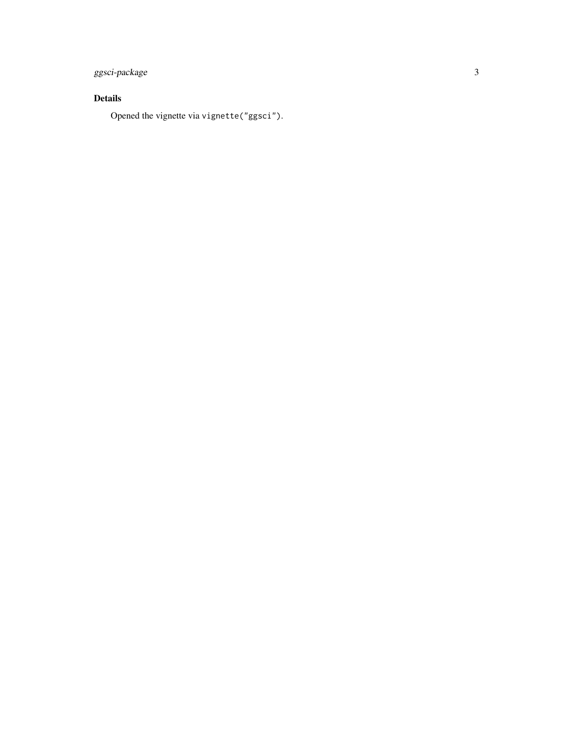# ggsci-package 3

# Details

Opened the vignette via vignette("ggsci").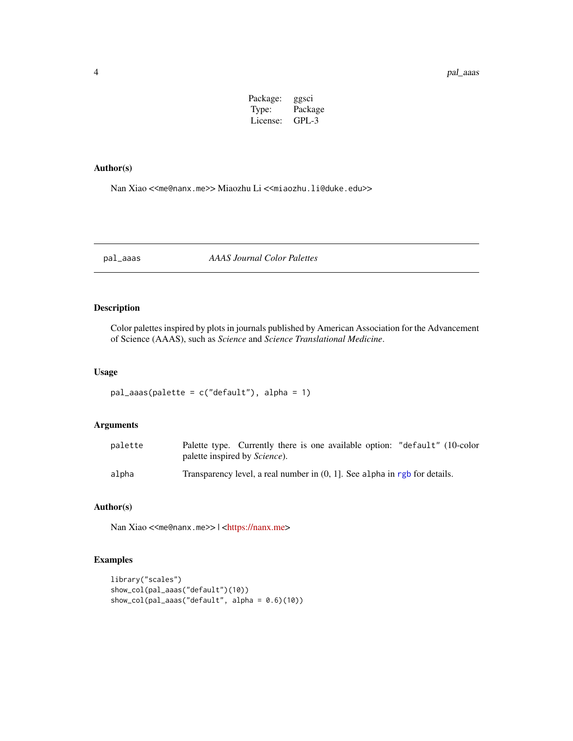| Package: | ggsci   |
|----------|---------|
| Type:    | Package |
| License: | GPL-3   |

# <span id="page-3-0"></span>Author(s)

Nan Xiao <<me@nanx.me>> Miaozhu Li <<miaozhu.li@duke.edu>>

<span id="page-3-1"></span>pal\_aaas *AAAS Journal Color Palettes*

# Description

Color palettes inspired by plots in journals published by American Association for the Advancement of Science (AAAS), such as *Science* and *Science Translational Medicine*.

#### Usage

```
pal_aaas(palette = c("default"), alpha = 1)
```
# Arguments

| palette | Palette type. Currently there is one available option: "default" (10-color<br>palette inspired by <i>Science</i> ). |
|---------|---------------------------------------------------------------------------------------------------------------------|
| alpha   | Transparency level, a real number in $(0, 1]$ . See alpha in rgb for details.                                       |

# Author(s)

Nan Xiao <<me@nanx.me>> | [<https://nanx.me>](https://nanx.me)

```
library("scales")
show_col(pal_aaas("default")(10))
show_col(pal_aaas("default", alpha = 0.6)(10))
```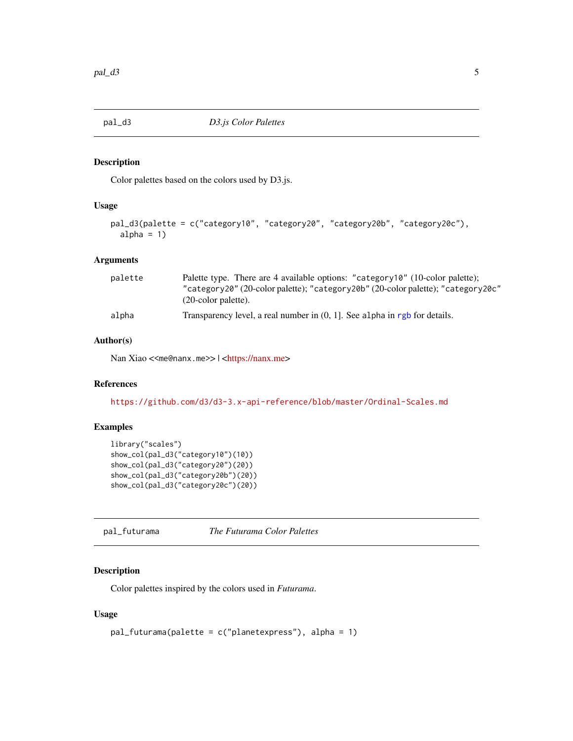<span id="page-4-1"></span><span id="page-4-0"></span>

Color palettes based on the colors used by D3.js.

# Usage

```
pal_d3(palette = c("category10", "category20", "category20b", "category20c"),
  alpha = 1)
```
# Arguments

| palette | Palette type. There are 4 available options: "category10" (10-color palette);<br>"category20" (20-color palette); "category20b" (20-color palette); "category20c"<br>$(20$ -color palette). |
|---------|---------------------------------------------------------------------------------------------------------------------------------------------------------------------------------------------|
| alpha   | Transparency level, a real number in $(0, 1)$ . See alpha in rgb for details.                                                                                                               |

#### Author(s)

Nan Xiao <<me@nanx.me>> | [<https://nanx.me>](https://nanx.me)

# References

<https://github.com/d3/d3-3.x-api-reference/blob/master/Ordinal-Scales.md>

# Examples

```
library("scales")
show_col(pal_d3("category10")(10))
show_col(pal_d3("category20")(20))
show_col(pal_d3("category20b")(20))
show_col(pal_d3("category20c")(20))
```
<span id="page-4-2"></span>pal\_futurama *The Futurama Color Palettes*

# Description

Color palettes inspired by the colors used in *Futurama*.

#### Usage

```
pal_futurama(palette = c("planetexpress"), alpha = 1)
```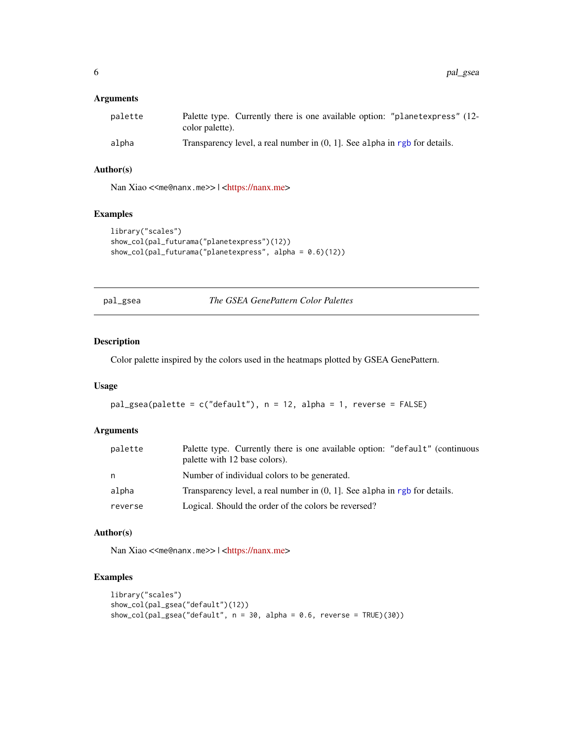# <span id="page-5-0"></span>Arguments

| palette | Palette type. Currently there is one available option: "planetexpress" (12-<br>color palette). |
|---------|------------------------------------------------------------------------------------------------|
| alpha   | Transparency level, a real number in $(0, 1]$ . See alpha in rgb for details.                  |

# Author(s)

Nan Xiao <<me@nanx.me>> | [<https://nanx.me>](https://nanx.me)

### Examples

```
library("scales")
show_col(pal_futurama("planetexpress")(12))
show_col(pal_futurama("planetexpress", alpha = 0.6)(12))
```
<span id="page-5-1"></span>pal\_gsea *The GSEA GenePattern Color Palettes*

#### Description

Color palette inspired by the colors used in the heatmaps plotted by GSEA GenePattern.

# Usage

```
pal_gsea(palette = c("default"), n = 12, alpha = 1, reverse = FALSE)
```
#### Arguments

| palette | Palette type. Currently there is one available option: "default" (continuous<br>palette with 12 base colors). |
|---------|---------------------------------------------------------------------------------------------------------------|
| n       | Number of individual colors to be generated.                                                                  |
| alpha   | Transparency level, a real number in $(0, 1]$ . See alpha in rgb for details.                                 |
| reverse | Logical. Should the order of the colors be reversed?                                                          |

#### Author(s)

Nan Xiao <<me@nanx.me>> | [<https://nanx.me>](https://nanx.me)

```
library("scales")
show_col(pal_gsea("default")(12))
show_col(pal_gsea("default", n = 30, alpha = 0.6, reverse = TRUE)(30))
```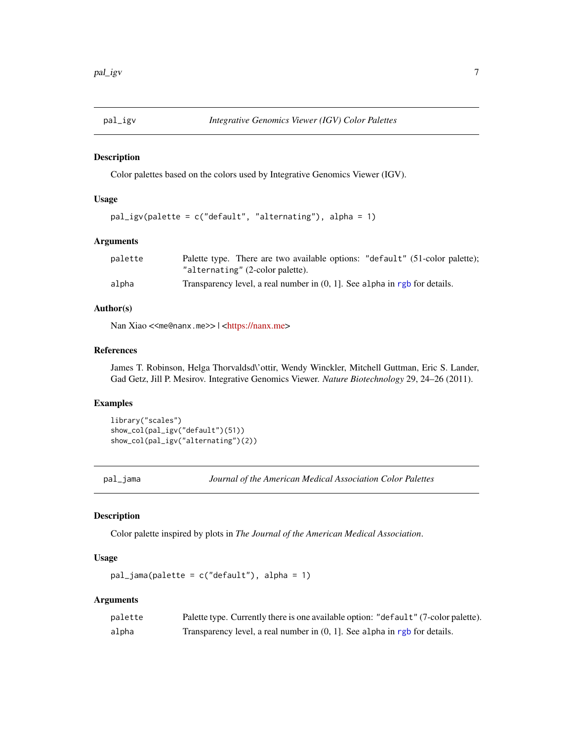<span id="page-6-1"></span><span id="page-6-0"></span>

Color palettes based on the colors used by Integrative Genomics Viewer (IGV).

#### Usage

```
pal_igv(palette = c("default", "alternating"), alpha = 1)
```
# Arguments

| palette | Palette type. There are two available options: "default" (51-color palette);  |
|---------|-------------------------------------------------------------------------------|
|         | "alternating" (2-color palette).                                              |
| alpha   | Transparency level, a real number in $(0, 1]$ . See alpha in rgb for details. |

# Author(s)

Nan Xiao <<me@nanx.me>> | [<https://nanx.me>](https://nanx.me)

#### References

James T. Robinson, Helga Thorvaldsd\'ottir, Wendy Winckler, Mitchell Guttman, Eric S. Lander, Gad Getz, Jill P. Mesirov. Integrative Genomics Viewer. *Nature Biotechnology* 29, 24–26 (2011).

#### Examples

```
library("scales")
show_col(pal_igv("default")(51))
show_col(pal_igv("alternating")(2))
```
<span id="page-6-2"></span>pal\_jama *Journal of the American Medical Association Color Palettes*

#### Description

Color palette inspired by plots in *The Journal of the American Medical Association*.

#### Usage

pal\_jama(palette = c("default"), alpha = 1)

#### Arguments

| palette | Palette type. Currently there is one available option: "default" (7-color palette). |
|---------|-------------------------------------------------------------------------------------|
| alpha   | Transparency level, a real number in $(0, 1]$ . See alpha in rgb for details.       |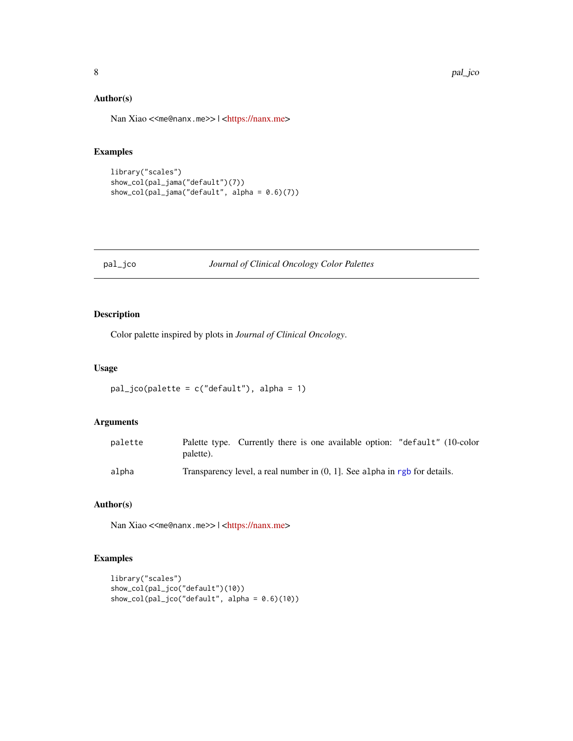# <span id="page-7-0"></span>Author(s)

Nan Xiao <<me@nanx.me>> | [<https://nanx.me>](https://nanx.me)

# Examples

```
library("scales")
show_col(pal_jama("default")(7))
show_col(pal_jama("default", alpha = 0.6)(7))
```
#### <span id="page-7-1"></span>pal\_jco *Journal of Clinical Oncology Color Palettes*

# Description

Color palette inspired by plots in *Journal of Clinical Oncology*.

#### Usage

```
pal_jco(palette = c("default"), alpha = 1)
```
# Arguments

| palette | Palette type. Currently there is one available option: "default" (10-color<br>palette). |
|---------|-----------------------------------------------------------------------------------------|
| alpha   | Transparency level, a real number in $(0, 1)$ . See alpha in rgb for details.           |

# Author(s)

Nan Xiao <<me@nanx.me>> | [<https://nanx.me>](https://nanx.me)

```
library("scales")
show_col(pal_jco("default")(10))
show_col(pal_jco("default", alpha = 0.6)(10))
```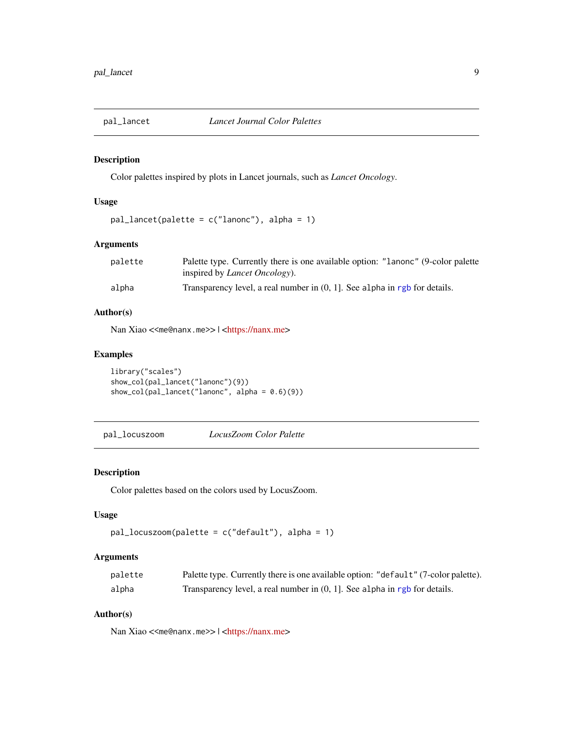<span id="page-8-1"></span><span id="page-8-0"></span>

Color palettes inspired by plots in Lancet journals, such as *Lancet Oncology*.

# Usage

```
pal_lancet(palette = c("lanonc"), alpha = 1)
```
# Arguments

| palette | Palette type. Currently there is one available option: "Lanonc" (9-color palette |
|---------|----------------------------------------------------------------------------------|
|         | inspired by <i>Lancet Oncology</i> ).                                            |
| alpha   | Transparency level, a real number in $(0, 1)$ . See alpha in rgb for details.    |

# Author(s)

Nan Xiao <<me@nanx.me>> | [<https://nanx.me>](https://nanx.me)

# Examples

```
library("scales")
show_col(pal_lancet("lanonc")(9))
show_col(pal_lancet("lanonc", alpha = 0.6)(9))
```
<span id="page-8-2"></span>pal\_locuszoom *LocusZoom Color Palette*

# Description

Color palettes based on the colors used by LocusZoom.

### Usage

```
pal_locuszoom(palette = c("default"), alpha = 1)
```
#### Arguments

| palette | Palette type. Currently there is one available option: "default" (7-color palette). |
|---------|-------------------------------------------------------------------------------------|
| alpha   | Transparency level, a real number in $(0, 1]$ . See alpha in rgb for details.       |

# Author(s)

Nan Xiao <<me@nanx.me>> | [<https://nanx.me>](https://nanx.me)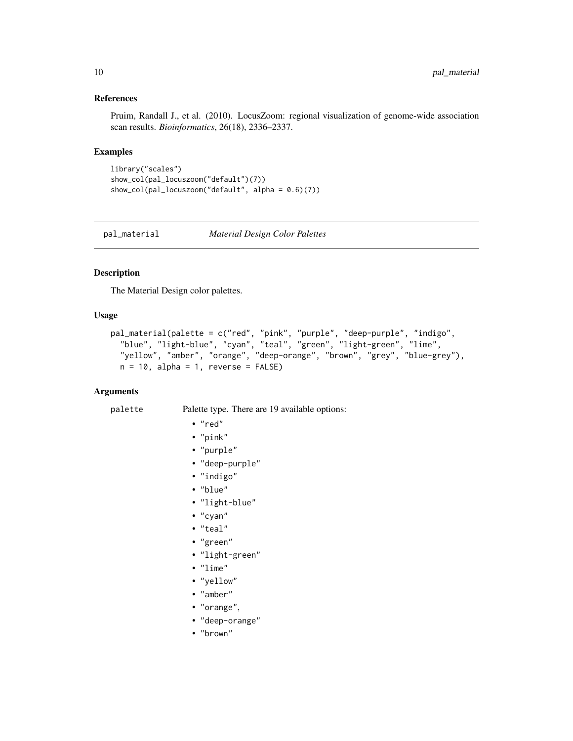#### <span id="page-9-0"></span>References

Pruim, Randall J., et al. (2010). LocusZoom: regional visualization of genome-wide association scan results. *Bioinformatics*, 26(18), 2336–2337.

#### Examples

```
library("scales")
show_col(pal_locuszoom("default")(7))
show_col(pal_locuszoom("default", alpha = 0.6)(7))
```
<span id="page-9-1"></span>pal\_material *Material Design Color Palettes*

# Description

The Material Design color palettes.

#### Usage

```
pal_material(palette = c("red", "pink", "purple", "deep-purple", "indigo",
  "blue", "light-blue", "cyan", "teal", "green", "light-green", "lime",
  "yellow", "amber", "orange", "deep-orange", "brown", "grey", "blue-grey"),
 n = 10, alpha = 1, reverse = FALSE)
```
# Arguments

palette Palette type. There are 19 available options:

• "red"

- "pink"
- "purple"
- 
- "deep-purple"
- "indigo"
- "blue"
- "light-blue"
- "cyan"
- "teal"
- "green"
- "light-green"
- "lime"
- "yellow"
- "amber"
- "orange",
- "deep-orange"
- "brown"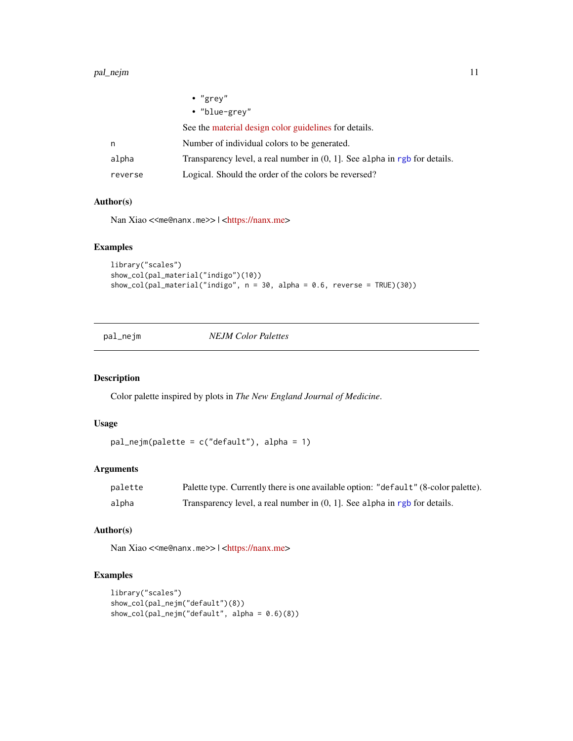#### <span id="page-10-0"></span>pal\_nejm 11

|         | $\bullet$ "grey"                                                              |
|---------|-------------------------------------------------------------------------------|
|         | • "blue-grey"                                                                 |
|         | See the material design color guidelines for details.                         |
| n       | Number of individual colors to be generated.                                  |
| alpha   | Transparency level, a real number in $(0, 1]$ . See alpha in rgb for details. |
| reverse | Logical. Should the order of the colors be reversed?                          |

#### Author(s)

Nan Xiao <<me@nanx.me>> | [<https://nanx.me>](https://nanx.me)

#### Examples

```
library("scales")
show_col(pal_material("indigo")(10))
show_col(pal_material("indigo", n = 30, alpha = 0.6, reverse = TRUE)(30))
```
<span id="page-10-1"></span>pal\_nejm *NEJM Color Palettes*

# Description

Color palette inspired by plots in *The New England Journal of Medicine*.

# Usage

```
pal_nejm(palette = c("default"), alpha = 1)
```
#### Arguments

| palette | Palette type. Currently there is one available option: "default" (8-color palette). |
|---------|-------------------------------------------------------------------------------------|
| alpha   | Transparency level, a real number in $(0, 1]$ . See alpha in rgb for details.       |

# Author(s)

Nan Xiao <<me@nanx.me>> | [<https://nanx.me>](https://nanx.me)

```
library("scales")
show_col(pal_nejm("default")(8))
show_col(pal_nejm("default", alpha = 0.6)(8))
```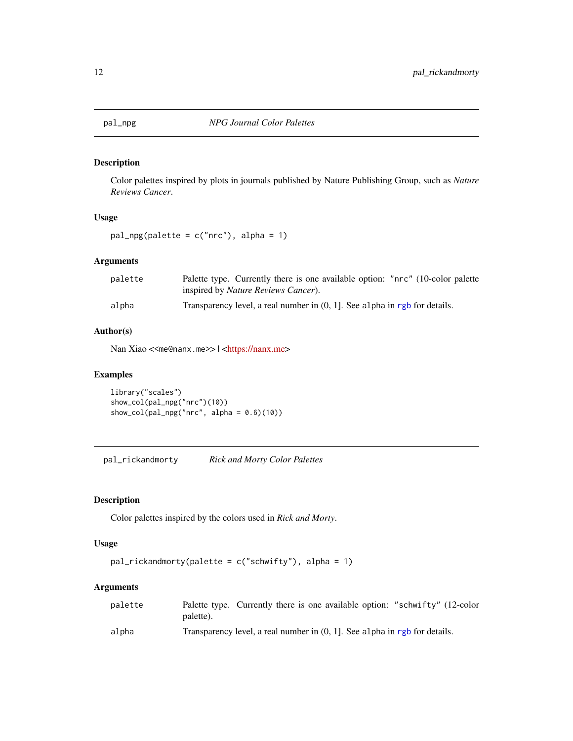<span id="page-11-1"></span><span id="page-11-0"></span>

Color palettes inspired by plots in journals published by Nature Publishing Group, such as *Nature Reviews Cancer*.

# Usage

pal\_npg(palette = c("nrc"), alpha = 1)

# Arguments

| palette | Palette type. Currently there is one available option: "nrc" (10-color palette<br>inspired by <i>Nature Reviews Cancer</i> ). |
|---------|-------------------------------------------------------------------------------------------------------------------------------|
| alpha   | Transparency level, a real number in $(0, 1)$ . See alpha in rgb for details.                                                 |

# Author(s)

Nan Xiao <<me@nanx.me>> | [<https://nanx.me>](https://nanx.me)

# Examples

library("scales") show\_col(pal\_npg("nrc")(10)) show\_col(pal\_npg("nrc", alpha =  $0.6$ )(10))

<span id="page-11-2"></span>pal\_rickandmorty *Rick and Morty Color Palettes*

# Description

Color palettes inspired by the colors used in *Rick and Morty*.

#### Usage

```
pal_rickandmorty(palette = c("schwifty"), alpha = 1)
```
# Arguments

| palette | Palette type. Currently there is one available option: "schwifty" (12-color   |  |  |  |  |
|---------|-------------------------------------------------------------------------------|--|--|--|--|
|         | palette).                                                                     |  |  |  |  |
| alpha   | Transparency level, a real number in $(0, 1)$ . See alpha in rgb for details. |  |  |  |  |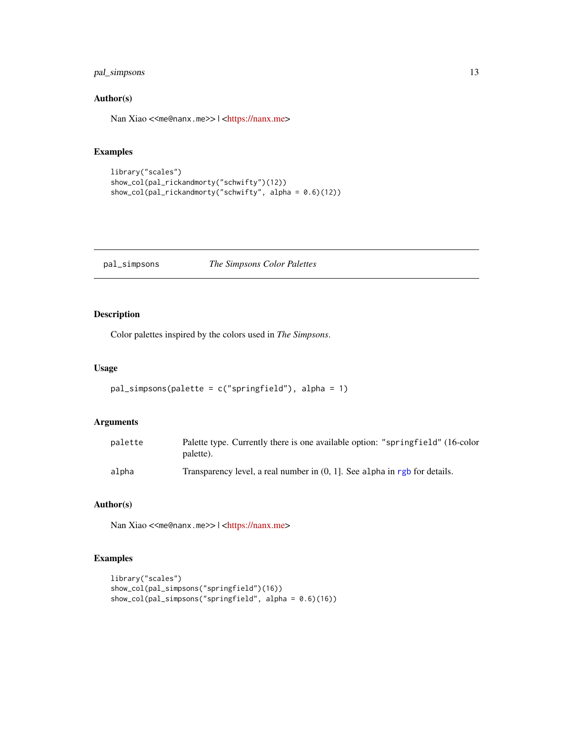# <span id="page-12-0"></span>pal\_simpsons 13

# Author(s)

Nan Xiao <<me@nanx.me>> | [<https://nanx.me>](https://nanx.me)

# Examples

```
library("scales")
show_col(pal_rickandmorty("schwifty")(12))
show_col(pal_rickandmorty("schwifty", alpha = 0.6)(12))
```
#### <span id="page-12-1"></span>pal\_simpsons *The Simpsons Color Palettes*

# Description

Color palettes inspired by the colors used in *The Simpsons*.

#### Usage

```
pal_simpsons(palette = c("springfield"), alpha = 1)
```
### Arguments

| palette | Palette type. Currently there is one available option: "springfield" (16-color<br>palette). |
|---------|---------------------------------------------------------------------------------------------|
| alpha   | Transparency level, a real number in $(0, 1)$ . See alpha in rgb for details.               |

# Author(s)

Nan Xiao <<me@nanx.me>> | [<https://nanx.me>](https://nanx.me)

```
library("scales")
show_col(pal_simpsons("springfield")(16))
show_col(pal_simpsons("springfield", alpha = (0.6)(16))
```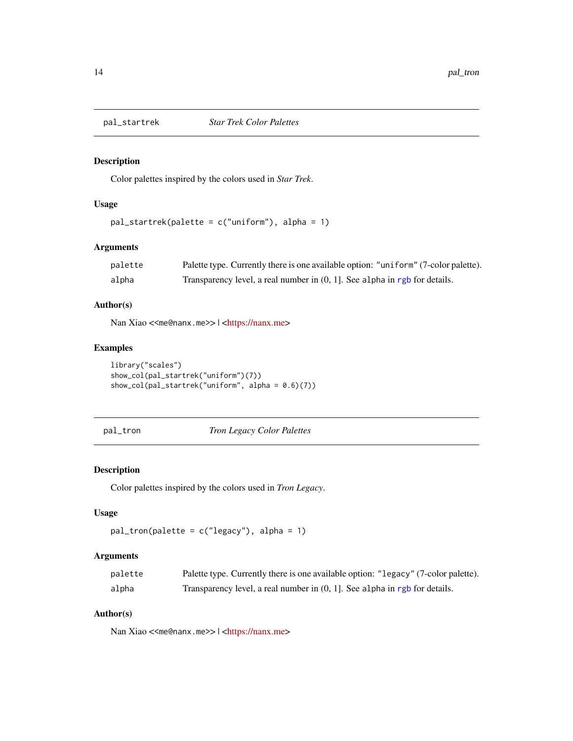<span id="page-13-1"></span><span id="page-13-0"></span>

Color palettes inspired by the colors used in *Star Trek*.

# Usage

```
pal_startrek(palette = c("uniform"), alpha = 1)
```
# Arguments

| palette | Palette type. Currently there is one available option: "uniform" (7-color palette). |
|---------|-------------------------------------------------------------------------------------|
| alpha   | Transparency level, a real number in $(0, 1]$ . See alpha in rgb for details.       |

# Author(s)

Nan Xiao <<me@nanx.me>> | [<https://nanx.me>](https://nanx.me)

# Examples

```
library("scales")
show_col(pal_startrek("uniform")(7))
show_col(pal_startrek("uniform", alpha = 0.6)(7))
```
<span id="page-13-2"></span>pal\_tron *Tron Legacy Color Palettes*

# Description

Color palettes inspired by the colors used in *Tron Legacy*.

#### Usage

```
pal_tron(palette = c("legacy"), alpha = 1)
```
# Arguments

| palette | Palette type. Currently there is one available option: "legacy" (7-color palette). |
|---------|------------------------------------------------------------------------------------|
| alpha   | Transparency level, a real number in $(0, 1]$ . See alpha in rgb for details.      |

# Author(s)

Nan Xiao <<me@nanx.me>> | [<https://nanx.me>](https://nanx.me)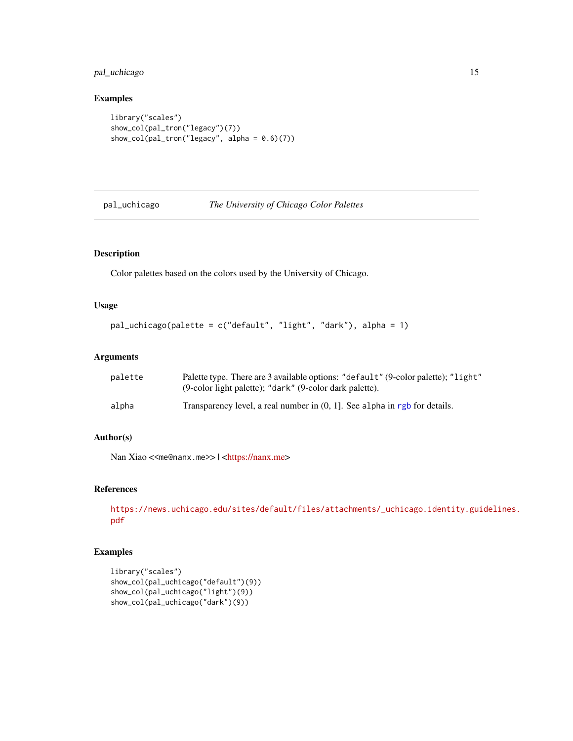# <span id="page-14-0"></span>pal\_uchicago 15

# Examples

```
library("scales")
show_col(pal_tron("legacy")(7))
show_col(pal_tron("legacy", alpha = 0.6)(7))
```
<span id="page-14-1"></span>

pal\_uchicago *The University of Chicago Color Palettes*

# Description

Color palettes based on the colors used by the University of Chicago.

#### Usage

```
pal_uchicago(palette = c("default", "light", "dark"), alpha = 1)
```
# Arguments

| palette | Palette type. There are 3 available options: "default" (9-color palette); "light"<br>(9-color light palette); "dark" (9-color dark palette). |
|---------|----------------------------------------------------------------------------------------------------------------------------------------------|
| alpha   | Transparency level, a real number in $(0, 1]$ . See alpha in rgb for details.                                                                |

# Author(s)

Nan Xiao <<me@nanx.me>> | [<https://nanx.me>](https://nanx.me)

# References

[https://news.uchicago.edu/sites/default/files/attachments/\\_uchicago.identity.gui](https://news.uchicago.edu/sites/default/files/attachments/_uchicago.identity.guidelines.pdf)delines. [pdf](https://news.uchicago.edu/sites/default/files/attachments/_uchicago.identity.guidelines.pdf)

```
library("scales")
show_col(pal_uchicago("default")(9))
show_col(pal_uchicago("light")(9))
show_col(pal_uchicago("dark")(9))
```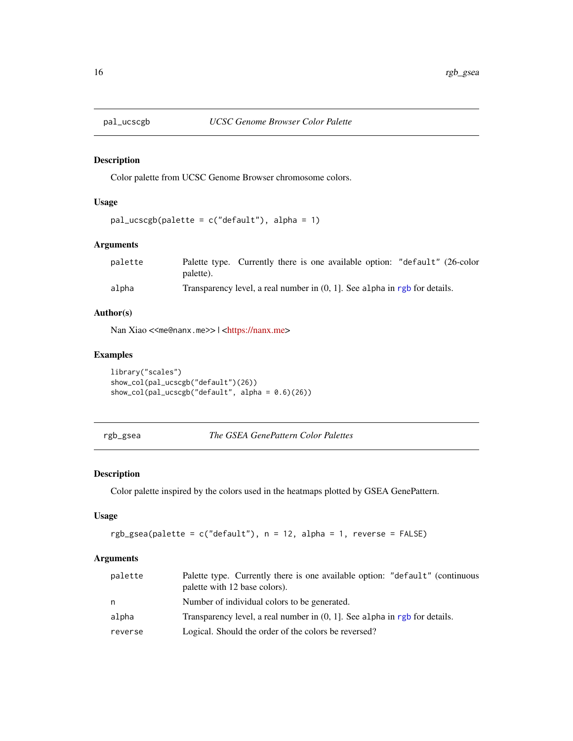<span id="page-15-1"></span><span id="page-15-0"></span>

Color palette from UCSC Genome Browser chromosome colors.

# Usage

```
pal_ucscgb(palette = c("default"), alpha = 1)
```
# Arguments

| palette | Palette type. Currently there is one available option: "default" (26-color    |  |
|---------|-------------------------------------------------------------------------------|--|
|         | palette).                                                                     |  |
| alpha   | Transparency level, a real number in $(0, 1)$ . See alpha in rgb for details. |  |

# Author(s)

Nan Xiao <<me@nanx.me>> | [<https://nanx.me>](https://nanx.me)

# Examples

library("scales") show\_col(pal\_ucscgb("default")(26)) show\_col(pal\_ucscgb("default", alpha = 0.6)(26))

```
rgb_gsea The GSEA GenePattern Color Palettes
```
#### Description

Color palette inspired by the colors used in the heatmaps plotted by GSEA GenePattern.

# Usage

```
rgb_gsea(palette = c("default"), n = 12, alpha = 1, reverse = FALSE)
```
# Arguments

| palette | Palette type. Currently there is one available option: "default" (continuous<br>palette with 12 base colors). |
|---------|---------------------------------------------------------------------------------------------------------------|
| n       | Number of individual colors to be generated.                                                                  |
| alpha   | Transparency level, a real number in $(0, 1)$ . See alpha in rgb for details.                                 |
| reverse | Logical. Should the order of the colors be reversed?                                                          |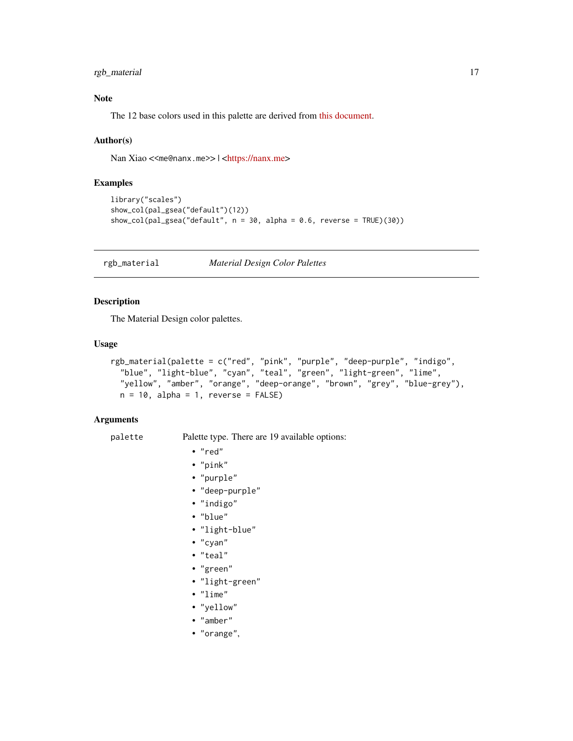# <span id="page-16-0"></span>rgb\_material 17

# Note

The 12 base colors used in this palette are derived from [this document.](ftp://ftp.broad.mit.edu/pub/genepattern/modules/HeatMapImage/broad.mit.edu:cancer.software.genepattern.module.analysis/00032/6/HeatMapImage.pdf)

#### Author(s)

Nan Xiao <<me@nanx.me>> | [<https://nanx.me>](https://nanx.me)

#### Examples

```
library("scales")
show_col(pal_gsea("default")(12))
show_col(pal_gsea("default", n = 30, alpha = 0.6, reverse = TRUE)(30))
```
rgb\_material *Material Design Color Palettes*

#### Description

The Material Design color palettes.

#### Usage

```
rgb_material(palette = c("red", "pink", "purple", "deep-purple", "indigo",
  "blue", "light-blue", "cyan", "teal", "green", "light-green", "lime",
  "yellow", "amber", "orange", "deep-orange", "brown", "grey", "blue-grey"),
 n = 10, alpha = 1, reverse = FALSE)
```
#### Arguments

palette Palette type. There are 19 available options:

- "red"
- "pink"
- "purple"
- "deep-purple"
- "indigo"
- "blue"
- "light-blue"
- "cyan"
- "teal"
- "green"
- "light-green"
- "lime"
- "yellow"
- "amber"
- "orange",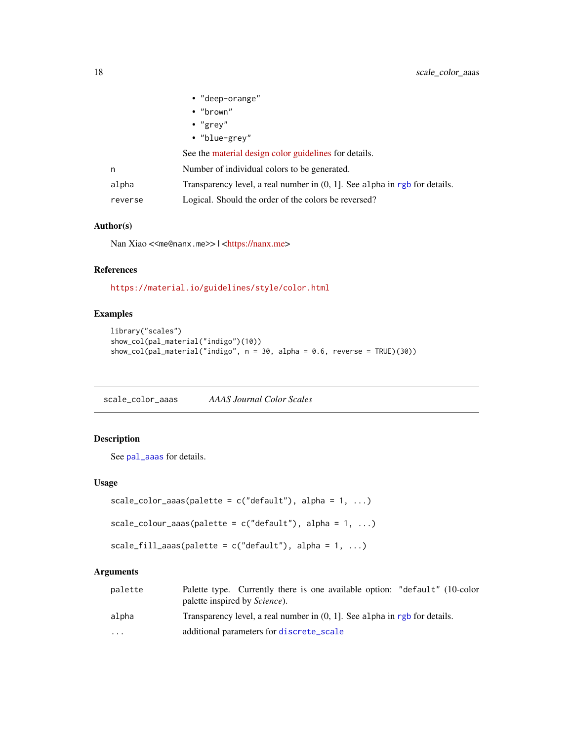<span id="page-17-0"></span>

|         | • "deep-orange"                                                               |
|---------|-------------------------------------------------------------------------------|
|         | $\cdot$ "brown"                                                               |
|         | $\cdot$ "grey"                                                                |
|         | • "blue-grey"                                                                 |
|         | See the material design color guidelines for details.                         |
| n       | Number of individual colors to be generated.                                  |
| alpha   | Transparency level, a real number in $(0, 1]$ . See alpha in rgb for details. |
| reverse | Logical. Should the order of the colors be reversed?                          |

# Author(s)

Nan Xiao <<me@nanx.me>> | [<https://nanx.me>](https://nanx.me)

# References

<https://material.io/guidelines/style/color.html>

# Examples

```
library("scales")
show_col(pal_material("indigo")(10))
show_col(pal_material("indigo", n = 30, alpha = 0.6, reverse = TRUE)(30))
```
scale\_color\_aaas *AAAS Journal Color Scales*

# Description

See [pal\\_aaas](#page-3-1) for details.

# Usage

```
scale_color_aaas(palette = c("default"), alpha = 1, ...)
```

```
scale_colour_aaas(palette = c("default"), alpha = 1, ...)
```

```
scale_fill_aaas(palette = c("default"), alpha = 1, ...)
```
# Arguments

| palette   | Palette type. Currently there is one available option: "default" (10-color<br>palette inspired by <i>Science</i> ). |
|-----------|---------------------------------------------------------------------------------------------------------------------|
| alpha     | Transparency level, a real number in $(0, 1)$ . See alpha in rgb for details.                                       |
| $\ddotsc$ | additional parameters for discrete_scale                                                                            |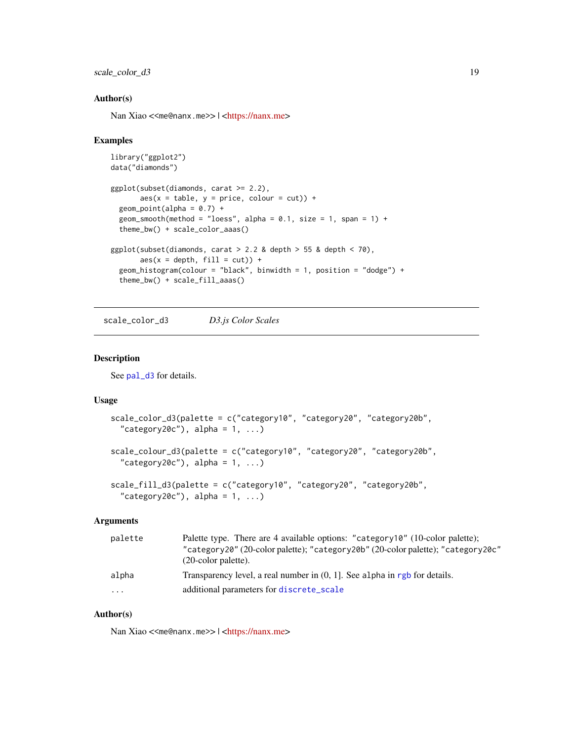# <span id="page-18-0"></span>scale\_color\_d3 19

#### Author(s)

Nan Xiao <<me@nanx.me>> | [<https://nanx.me>](https://nanx.me)

#### Examples

```
library("ggplot2")
data("diamonds")
ggplot(subset(diamonds, carat >= 2.2),
       aes(x = table, y = price, colour = cut)) +geom\_point(alpha = 0.7) +geom_smooth(method = "loess", alpha = 0.1, size = 1, span = 1) +
  theme_bw() + scale_color_aaas()
ggplot(subset(diamonds, carat > 2.2 &amp; depth > 55 &amp; depth < 70,
       \text{aes}(x = \text{depth}, \text{ fill} = \text{cut})) +geom_histogram(colour = "black", binwidth = 1, position = "dodge") +
  theme_bw() + scale_fill_aaas()
```
scale\_color\_d3 *D3.js Color Scales*

#### Description

See [pal\\_d3](#page-4-1) for details.

# Usage

```
scale_color_d3(palette = c("category10", "category20", "category20b",
  "category20c"), alpha = 1, ...)
scale_colour_d3(palette = c("category10", "category20", "category20b",
  "category20c"), alpha = 1, ...)
scale_fill_d3(palette = c("category10", "category20", "category20b",
  "category20c"), alpha = 1, ...)
```
#### Arguments

| palette  | Palette type. There are 4 available options: "category10" (10-color palette);<br>"category20" (20-color palette); "category20b" (20-color palette); "category20c"<br>$(20$ -color palette). |
|----------|---------------------------------------------------------------------------------------------------------------------------------------------------------------------------------------------|
| alpha    | Transparency level, a real number in $(0, 1]$ . See alpha in rgb for details.                                                                                                               |
| $\cdots$ | additional parameters for discrete_scale                                                                                                                                                    |

# Author(s)

Nan Xiao <<me@nanx.me>> | [<https://nanx.me>](https://nanx.me)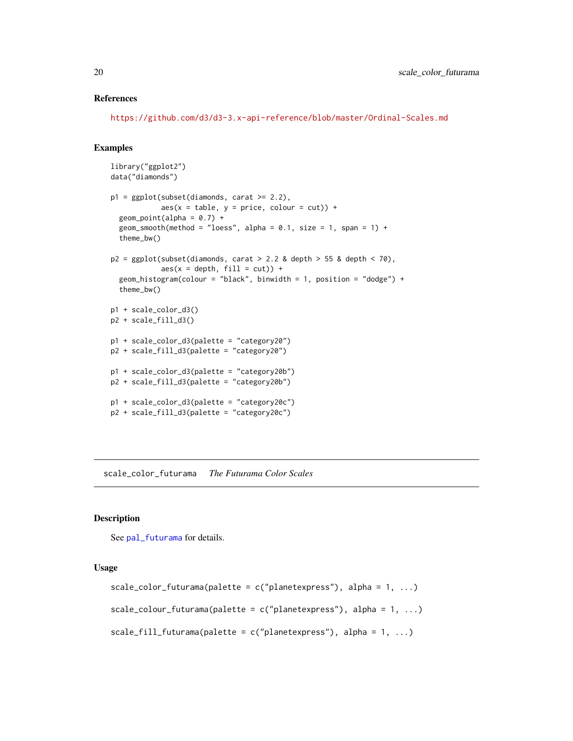#### <span id="page-19-0"></span>References

<https://github.com/d3/d3-3.x-api-reference/blob/master/Ordinal-Scales.md>

#### Examples

```
library("ggplot2")
data("diamonds")
p1 = ggplot(subset(diamonds, carat >= 2.2),aes(x = table, y = price, colour = cut)) +geom\_point(alpha = 0.7) +geom_smooth(method = "loess", alpha = 0.1, size = 1, span = 1) +
  theme_bw()
p2 = ggplot(subset(diamonds, carat > 2.2 &amp; depth > 55 &amp; depth < 70),aes(x = depth, fill = cut)) +geom_histogram(colour = "black", binwidth = 1, position = "dodge") +
  theme_bw()
p1 + scale_color_d3()
p2 + scale_fill_d3()
p1 + scale_color_d3(palette = "category20")
p2 + scale_fill_d3(palette = "category20")
p1 + scale_color_d3(palette = "category20b")
p2 + scale_fill_d3(palette = "category20b")
p1 + scale_color_d3(palette = "category20c")
p2 + scale_fill_d3(palette = "category20c")
```
scale\_color\_futurama *The Futurama Color Scales*

#### **Description**

See [pal\\_futurama](#page-4-2) for details.

#### Usage

```
scale_color_futurama(palette = c("planetexpress"), alpha = 1, ...)
scale_colour_futurama(palette = c("planetexpress"), alpha = 1, ...)
scale_fill_futurama(palette = c("planetexpress"), alpha = 1, ...)
```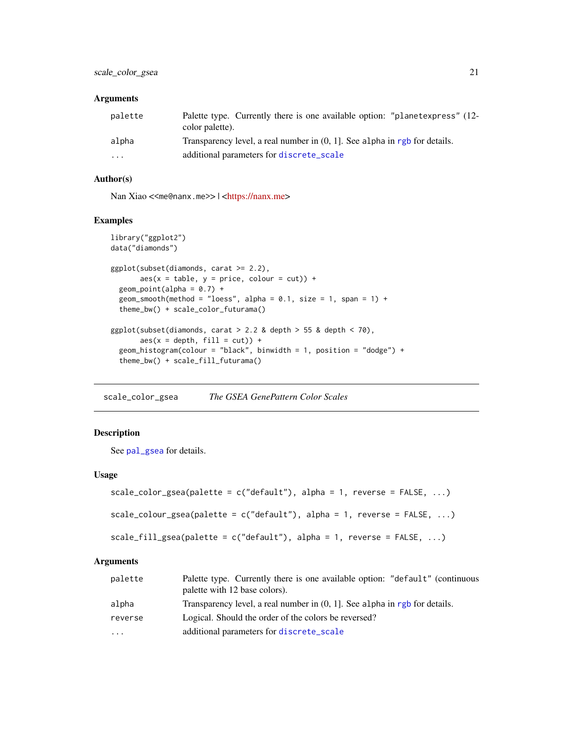# <span id="page-20-0"></span>Arguments

| palette           | Palette type. Currently there is one available option: "planetexpress" (12-<br>color palette). |
|-------------------|------------------------------------------------------------------------------------------------|
| alpha             | Transparency level, a real number in $(0, 1]$ . See alpha in rgb for details.                  |
| $\cdot\cdot\cdot$ | additional parameters for discrete_scale                                                       |

# Author(s)

Nan Xiao <<me@nanx.me>> | [<https://nanx.me>](https://nanx.me)

# Examples

```
library("ggplot2")
data("diamonds")
ggplot(subset(diamonds, carat >= 2.2),
       aes(x = table, y = price, colour = cut)) +geom\_point(alpha = 0.7) +geom_smooth(method = "loess", alpha = 0.1, size = 1, span = 1) +
  theme_bw() + scale_color_futurama()
ggplot(subset(diamonds, carat > 2.2 &amp; depth > 55 &amp; depth < 70),aes(x = depth, fill = cut)) +geom_histogram(colour = "black", binwidth = 1, position = "dodge") +
  theme_bw() + scale_fill_futurama()
```
scale\_color\_gsea *The GSEA GenePattern Color Scales*

# Description

See [pal\\_gsea](#page-5-1) for details.

#### Usage

```
scale_color_gsea(palette = c("default"), alpha = 1, reverse = FALSE, ...)
scale_colour_gsea(palette = c("default"), alpha = 1, reverse = FALSE, ...)
```

```
scale_fill_gsea(palette = c("default"), alpha = 1, reverse = FALSE, ...)
```
# Arguments

| palette | Palette type. Currently there is one available option: "default" (continuous<br>palette with 12 base colors). |
|---------|---------------------------------------------------------------------------------------------------------------|
| alpha   | Transparency level, a real number in $(0, 1]$ . See alpha in rgb for details.                                 |
| reverse | Logical. Should the order of the colors be reversed?                                                          |
| .       | additional parameters for discrete_scale                                                                      |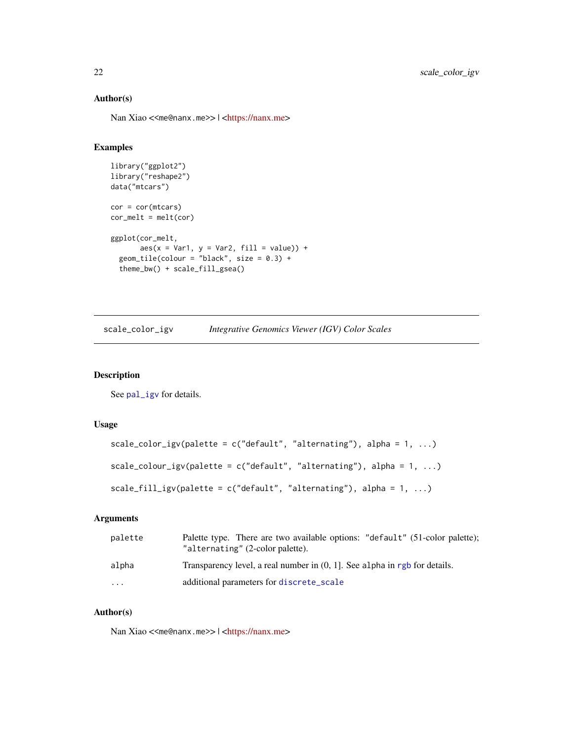# Author(s)

Nan Xiao <<me@nanx.me>> | [<https://nanx.me>](https://nanx.me)

#### Examples

```
library("ggplot2")
library("reshape2")
data("mtcars")
cor = cor(mtcars)
cor\_melt = melt(cor)ggplot(cor_melt,
       aes(x = Var1, y = Var2, fill = value)) +geom\_tile(colour = "black", size = 0.3) +theme_bw() + scale_fill_gsea()
```

| scale_color_igv |  | Integrative Genomics Viewer (IGV) Color Scales |  |  |
|-----------------|--|------------------------------------------------|--|--|
|-----------------|--|------------------------------------------------|--|--|

#### Description

See [pal\\_igv](#page-6-1) for details.

# Usage

```
scale_color_igv(palette = c("default", "alternating"), alpha = 1, ...)scale_colour_igv(palette = c("default", "alternating"), alpha = 1, ...)scale_fill_igv(palette = c("default", "alternating"), alpha = 1, ...)
```
# Arguments

| palette | Palette type. There are two available options: "default" (51-color palette);<br>"alternating" (2-color palette). |
|---------|------------------------------------------------------------------------------------------------------------------|
| alpha   | Transparency level, a real number in $(0, 1)$ . See alpha in rgb for details.                                    |
| .       | additional parameters for discrete_scale                                                                         |

# Author(s)

Nan Xiao <<me@nanx.me>> | [<https://nanx.me>](https://nanx.me)

<span id="page-21-0"></span>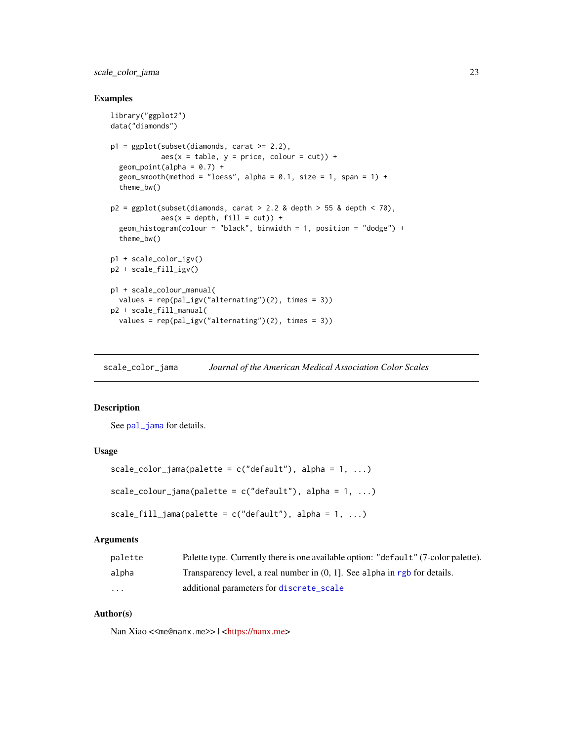<span id="page-22-0"></span>scale\_color\_jama 23

#### Examples

```
library("ggplot2")
data("diamonds")
p1 = ggplot(subset(diamonds, carat >= 2.2),aes(x = table, y = price, colour = cut)) +geom\_point(alpha = 0.7) +
  geom_smooth(method = "loess", alpha = 0.1, size = 1, span = 1) +
  theme_bw()
p2 = ggplot(subset(diamonds, carat > 2.2 &amp; depth > 55 &amp; depth < 70,aes(x = depth, fill = cut)) +geom_histogram(colour = "black", binwidth = 1, position = "dodge") +
  theme_bw()
p1 + scale_color_igv()
p2 + scale_fill_igv()
p1 + scale_colour_manual(
  values = rep(pal\_igv("alternating")(2), times = 3))
p2 + scale_fill_manual(
  values = rep(pal_igv("alternating")(2), times = 3))
```
scale\_color\_jama *Journal of the American Medical Association Color Scales*

#### Description

See [pal\\_jama](#page-6-2) for details.

# Usage

```
scale_color_jama(palette = c("default"), alpha = 1, ...)scale_colour_jama(palette = c("default"), alpha = 1, ...)scale_fill_jama(palette = c("default"), alpha = 1, ...)
```
# Arguments

| palette  | Palette type. Currently there is one available option: "default" (7-color palette). |
|----------|-------------------------------------------------------------------------------------|
| alpha    | Transparency level, a real number in $(0, 1)$ . See alpha in rgb for details.       |
| $\cdots$ | additional parameters for discrete_scale                                            |

#### Author(s)

Nan Xiao <<me@nanx.me>> | [<https://nanx.me>](https://nanx.me)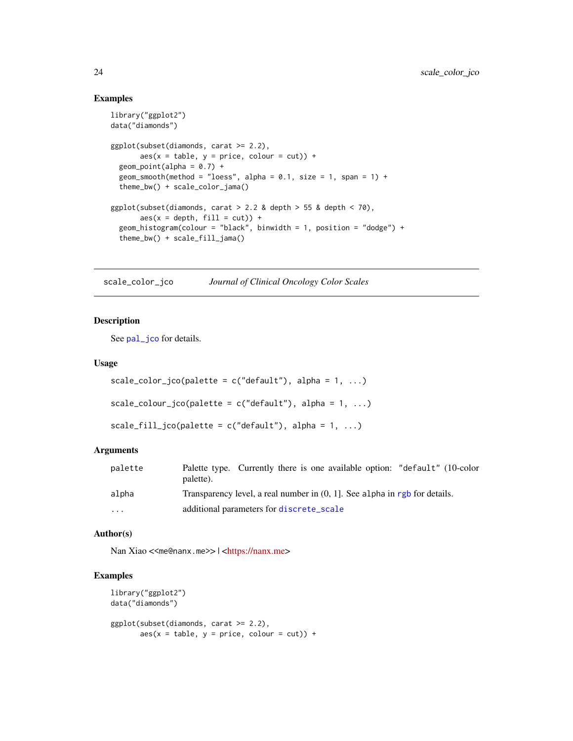#### Examples

```
library("ggplot2")
data("diamonds")
ggplot(subset(diamonds, carat >= 2.2),
       \text{aes}(x = \text{table}, y = \text{price}, \text{colour} = \text{cut}) +
  geom\_point(alpha = 0.7) +
  geom_smooth(method = "loess", alpha = 0.1, size = 1, span = 1) +
  theme_bw() + scale_color_jama()
ggplot(subset(diamonds, carat > 2.2 & depth > 55 & depth < 70),
       aes(x = depth, fill = cut)) +geom_histogram(colour = "black", binwidth = 1, position = "dodge") +
  theme_bw() + scale_fill_jama()
```
scale\_color\_jco *Journal of Clinical Oncology Color Scales*

#### Description

See [pal\\_jco](#page-7-1) for details.

#### Usage

```
scale_color_jco(palette = c("default"), alpha = 1, ...)scale\_colour\_jco(palette = c("default"), alpha = 1, ...)scale_fill\_jco(palette = c("default"), alpha = 1, ...)
```
#### Arguments

| palette  | Palette type. Currently there is one available option: "default" (10-color<br>palette). |  |  |
|----------|-----------------------------------------------------------------------------------------|--|--|
| alpha    | Transparency level, a real number in $(0, 1]$ . See alpha in rgb for details.           |  |  |
| $\cdots$ | additional parameters for discrete_scale                                                |  |  |

#### Author(s)

Nan Xiao <<me@nanx.me>> | [<https://nanx.me>](https://nanx.me)

```
library("ggplot2")
data("diamonds")
ggplot(subset(diamonds, carat >= 2.2),
      aes(x = table, y = price, colour = cut)) +
```
<span id="page-23-0"></span>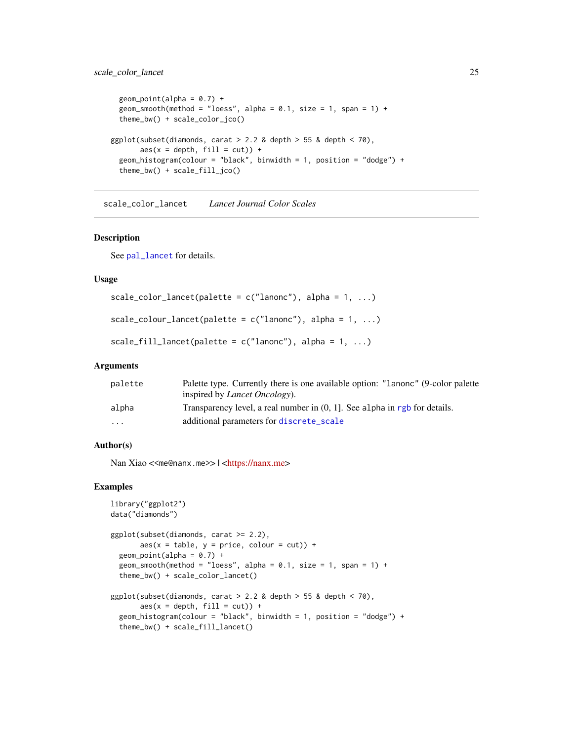# <span id="page-24-0"></span>scale\_color\_lancet 25

```
geom\_point(alpha = 0.7) +
 geom_smooth(method = "loess", alpha = 0.1, size = 1, span = 1) +
 theme_bw() + scale_color_jco()
ggplot(subset(diamonds, carat > 2.2 &amp; depth > 55 &amp; depth < 70),aes(x = depth, fill = cut)) +geom_histogram(colour = "black", binwidth = 1, position = "dodge") +
 theme_bw() + scale_fill_jco()
```
scale\_color\_lancet *Lancet Journal Color Scales*

# Description

See [pal\\_lancet](#page-8-1) for details.

#### Usage

```
scale_color_lancet(palette = c("lanonc"), alpha = 1, ...)scale\_colour\_lancet(palette = c("lanonc"), alpha = 1, ...)scale_fill_lancet(palette = c("lanonc"), alpha = 1, ...)
```
#### Arguments

| palette                 | Palette type. Currently there is one available option: "Lanonc" (9-color palette |
|-------------------------|----------------------------------------------------------------------------------|
|                         | inspired by <i>Lancet Oncology</i> ).                                            |
| alpha                   | Transparency level, a real number in $(0, 1)$ . See alpha in rgb for details.    |
| $\cdot$ $\cdot$ $\cdot$ | additional parameters for discrete_scale                                         |

#### Author(s)

Nan Xiao <<me@nanx.me>> | [<https://nanx.me>](https://nanx.me)

```
library("ggplot2")
data("diamonds")
ggplot(subset(diamonds, carat >= 2.2),
       aes(x = table, y = price, colour = cut)) +geom\_point(alpha = 0.7) +
 geom_smooth(method = "loess", alpha = 0.1, size = 1, span = 1) +
 theme_bw() + scale_color_lancet()
ggplot(subset(diamonds, carat > 2.2 &amp; depth > 55 &amp; depth < 70),aes(x = depth, fill = cut)) +geom_histogram(colour = "black", binwidth = 1, position = "dodge") +
 theme_bw() + scale_fill_lancet()
```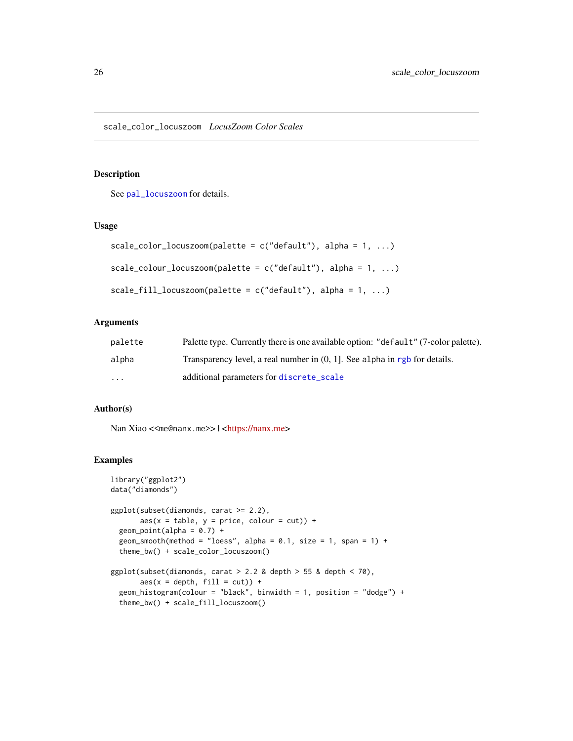<span id="page-25-0"></span>See [pal\\_locuszoom](#page-8-2) for details.

## Usage

```
scale_color_locuszoom(palette = c("default"), alpha = 1, ...)scale\_colour\_locuszoom(palette = c("default"), alpha = 1, ...)scale_fill\_locuszoom(palette = c("default"), alpha = 1, ...)
```
#### Arguments

| palette | Palette type. Currently there is one available option: "default" (7-color palette). |
|---------|-------------------------------------------------------------------------------------|
| alpha   | Transparency level, a real number in $(0, 1)$ . See alpha in rgb for details.       |
| .       | additional parameters for discrete_scale                                            |

#### Author(s)

Nan Xiao <<me@nanx.me>> | [<https://nanx.me>](https://nanx.me)

```
library("ggplot2")
data("diamonds")
ggplot(subset(diamonds, carat >= 2.2),
      aes(x = table, y = price, colour = cut)) +geom\_point(alpha = 0.7) +
 geom_smooth(method = "loess", alpha = 0.1, size = 1, span = 1) +
 theme_bw() + scale_color_locuszoom()
ggplot(subset(diamonds, carat > 2.2 &amp; depth > 55 &amp; depth < 70,aes(x = depth, fill = cut)) +geom_histogram(colour = "black", binwidth = 1, position = "dodge") +
 theme_bw() + scale_fill_locuszoom()
```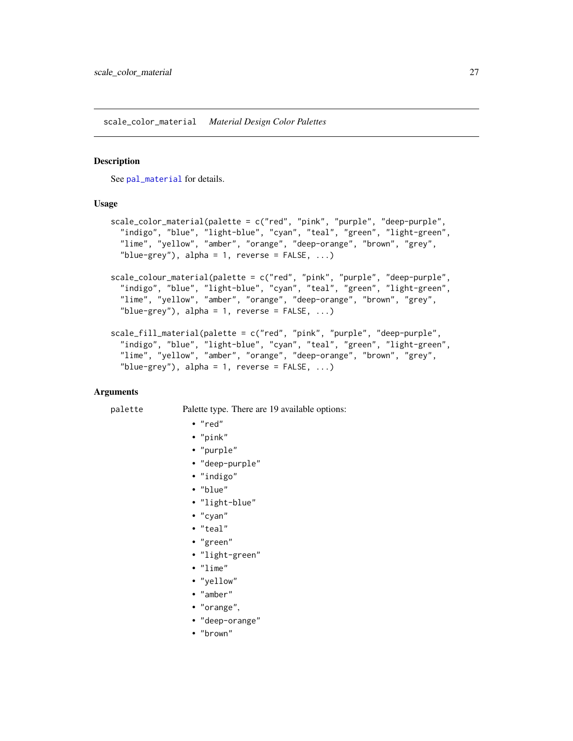<span id="page-26-0"></span>scale\_color\_material *Material Design Color Palettes*

#### Description

See [pal\\_material](#page-9-1) for details.

#### Usage

```
scale_color_material(palette = c("red", "pink", "purple", "deep-purple",
  "indigo", "blue", "light-blue", "cyan", "teal", "green", "light-green",
  "lime", "yellow", "amber", "orange", "deep-orange", "brown", "grey",
  "blue-grey"), alpha = 1, reverse = FALSE, ...)scale_colour_material(palette = c("red", "pink", "purple", "deep-purple",
  "indigo", "blue", "light-blue", "cyan", "teal", "green", "light-green",
  "lime", "yellow", "amber", "orange", "deep-orange", "brown", "grey",
  "blue-grey"), alpha = 1, reverse = FALSE, ...)
scale_fill_material(palette = c("red", "pink", "purple", "deep-purple",
  "indigo", "blue", "light-blue", "cyan", "teal", "green", "light-green",
  "lime", "yellow", "amber", "orange", "deep-orange", "brown", "grey",
  "blue-grey"), alpha = 1, reverse = FALSE, ...)
```
#### Arguments

#### palette Palette type. There are 19 available options:

• "red"

- "pink"
- 
- "purple"
- "deep-purple"
- "indigo"
- "blue"
- "light-blue"
- "cyan"
- "teal"
- "green"
- "light-green"
- "lime"
- "yellow"
- "amber"
- "orange",
- "deep-orange"
- "brown"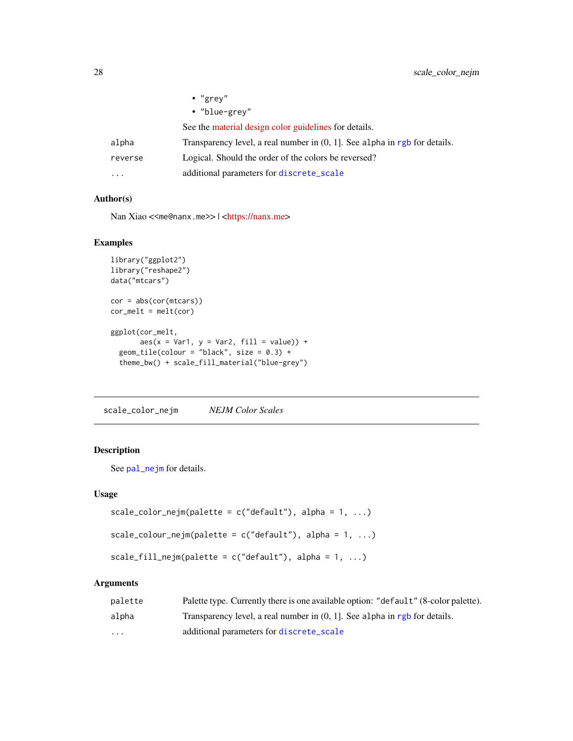<span id="page-27-0"></span>

|         | $\cdot$ "grey"                                                                |
|---------|-------------------------------------------------------------------------------|
|         | • "blue-grey"                                                                 |
|         | See the material design color guidelines for details.                         |
| alpha   | Transparency level, a real number in $(0, 1]$ . See alpha in rgb for details. |
| reverse | Logical. Should the order of the colors be reversed?                          |
| .       | additional parameters for discrete_scale                                      |

#### Author(s)

Nan Xiao <<me@nanx.me>> | [<https://nanx.me>](https://nanx.me)

# Examples

```
library("ggplot2")
library("reshape2")
data("mtcars")
cor = abs(cor(mtcars))
cor\_melt = melt(cor)ggplot(cor_melt,
      aes(x = Var1, y = Var2, fill = value)) +geom\_tile(colour = "black", size = 0.3) +
  theme_bw() + scale_fill_material("blue-grey")
```
scale\_color\_nejm *NEJM Color Scales*

# Description

See [pal\\_nejm](#page-10-1) for details.

#### Usage

```
scale_color_nejm(palette = c("default"), alpha = 1, ...)scale_colour_nejm(palette = c("default"), alpha = 1, ...)
```

```
scale_fill_nejm(palette = c("default"), alpha = 1, ...)
```
#### Arguments

| palette           | Palette type. Currently there is one available option: "default" (8-color palette). |
|-------------------|-------------------------------------------------------------------------------------|
| alpha             | Transparency level, a real number in $(0, 1)$ . See alpha in rgb for details.       |
| $\cdot\cdot\cdot$ | additional parameters for discrete_scale                                            |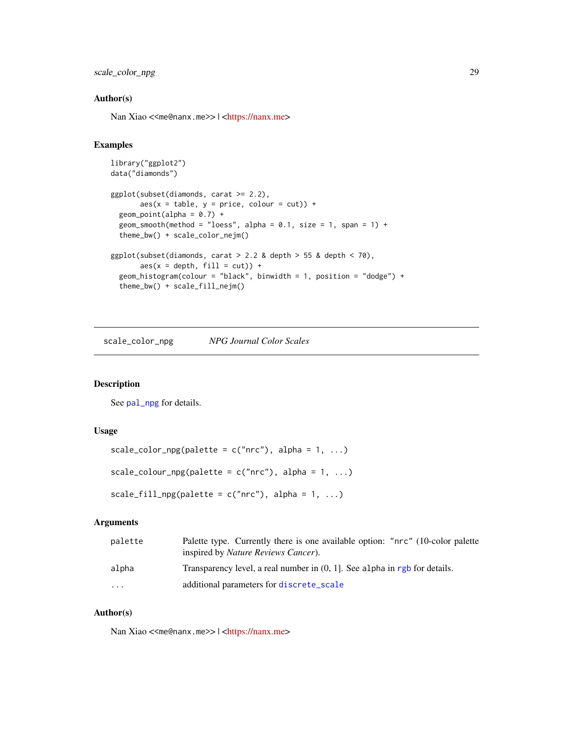<span id="page-28-0"></span>scale\_color\_npg 29

#### Author(s)

Nan Xiao <<me@nanx.me>> | [<https://nanx.me>](https://nanx.me)

# Examples

```
library("ggplot2")
data("diamonds")
ggplot(subset(diamonds, carat >= 2.2),
      aes(x = table, y = price, colour = cut)) +geom\_point(alpha = 0.7) +
 geom_smooth(method = "loess", alpha = 0.1, size = 1, span = 1) +
 theme_bw() + scale_color_nejm()
ggplot(subset(diamonds, carat > 2.2 & depth > 55 & depth < 70),
      aes(x = depth, fill = cut)) +geom_histogram(colour = "black", binwidth = 1, position = "dodge") +
 theme_bw() + scale_fill_nejm()
```
scale\_color\_npg *NPG Journal Color Scales*

#### Description

See [pal\\_npg](#page-11-1) for details.

#### Usage

```
scale_color_npg(palette = c("nrc"), alpha = 1, ...)
scale_colour_npg(palette = c("nrc"), alpha = 1, ...)
scale_fill_npg(palette = c("nrc"), alpha = 1, ...)
```
#### Arguments

| palette  | Palette type. Currently there is one available option: "nrc" (10-color palette<br>inspired by <i>Nature Reviews Cancer</i> ). |
|----------|-------------------------------------------------------------------------------------------------------------------------------|
| alpha    | Transparency level, a real number in $(0, 1)$ . See alpha in rgb for details.                                                 |
| $\cdots$ | additional parameters for discrete_scale                                                                                      |

# Author(s)

Nan Xiao <<me@nanx.me>> | [<https://nanx.me>](https://nanx.me)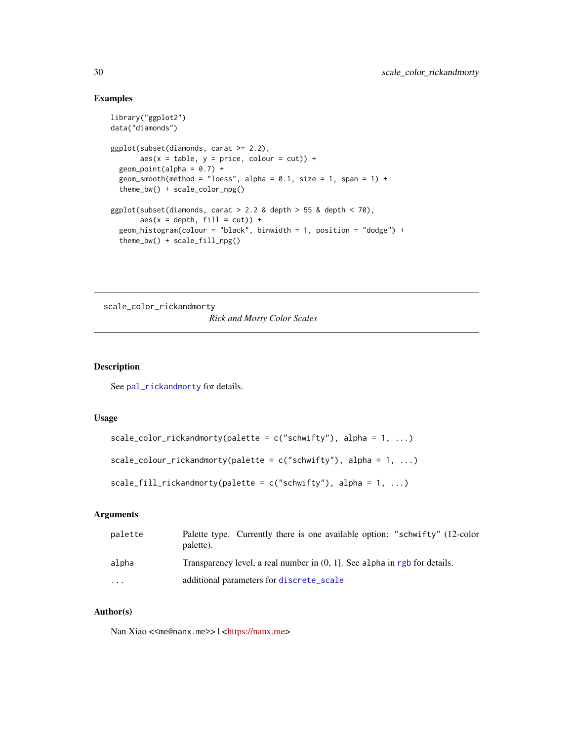#### Examples

```
library("ggplot2")
data("diamonds")
ggplot(subset(diamonds, carat >= 2.2),
       aes(x = table, y = price, colour = cut)) +geom\_point(alpha = 0.7) +
  geom_smooth(method = "loess", alpha = 0.1, size = 1, span = 1) +
  theme_bw() + scale_color_npg()
ggplot(subset(diamonds, carat > 2.2 &amp; depth > 55 &amp; depth < 70),\text{aes}(x = \text{depth}, \text{ fill} = \text{cut}) +
  geom_histogram(colour = "black", binwidth = 1, position = "dodge") +
  theme_bw() + scale_fill_npg()
```
scale\_color\_rickandmorty *Rick and Morty Color Scales*

#### Description

See [pal\\_rickandmorty](#page-11-2) for details.

# Usage

```
scale_color_rickandmorty(palette = c("schwifty"), alpha = 1, ...)
```

```
scale_colour_rickandmorty(palette = c("schwify"), alpha = 1, ...)
```

```
scale_fill_rickandmorty(palette = c("schwify"), alpha = 1, ...)
```
# Arguments

| palette                 | Palette type. Currently there is one available option: "schwifty" (12-color<br>palette). |
|-------------------------|------------------------------------------------------------------------------------------|
| alpha                   | Transparency level, a real number in $(0, 1)$ . See alpha in rgb for details.            |
| $\cdot$ $\cdot$ $\cdot$ | additional parameters for discrete_scale                                                 |

# Author(s)

Nan Xiao <<me@nanx.me>> | [<https://nanx.me>](https://nanx.me)

<span id="page-29-0"></span>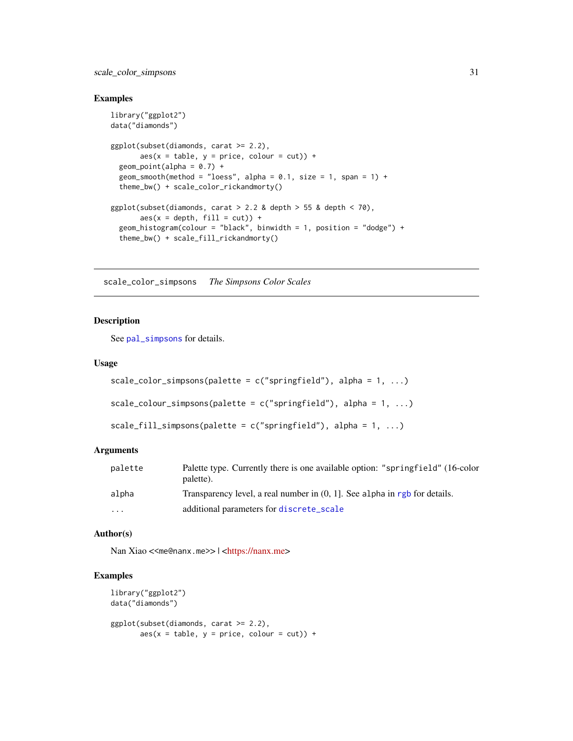<span id="page-30-0"></span>scale\_color\_simpsons 31

#### Examples

```
library("ggplot2")
data("diamonds")
ggplot(subset(diamonds, carat >= 2.2),
       \text{aes}(x = \text{table}, y = \text{price}, \text{colour} = \text{cut}) +
  geom\_point(alpha = 0.7) +
  geom_smooth(method = "loess", alpha = 0.1, size = 1, span = 1) +
  theme_bw() + scale_color_rickandmorty()
ggplot(subset(diamonds, carat > 2.2 & depth > 55 & depth < 70),
       aes(x = depth, fill = cut)) +geom_histogram(colour = "black", binwidth = 1, position = "dodge") +
  theme_bw() + scale_fill_rickandmorty()
```
scale\_color\_simpsons *The Simpsons Color Scales*

#### Description

See [pal\\_simpsons](#page-12-1) for details.

#### Usage

```
scale\_color\_simpos(palette = c("springfield"), alpha = 1, ...)scale_colour_simpsons(palette = c("springfield"), alpha = 1, ...)
```

```
scale_fill_simpsons(palette = c("springfield"), alpha = 1, ...)
```
# Arguments

| palette  | Palette type. Currently there is one available option: "springfield" (16-color<br>palette). |
|----------|---------------------------------------------------------------------------------------------|
| alpha    | Transparency level, a real number in $(0, 1]$ . See alpha in rgb for details.               |
| $\cdots$ | additional parameters for discrete_scale                                                    |

#### Author(s)

Nan Xiao <<me@nanx.me>> | [<https://nanx.me>](https://nanx.me)

```
library("ggplot2")
data("diamonds")
ggplot(subset(diamonds, carat >= 2.2),
      aes(x = table, y = price, colour = cut)) +
```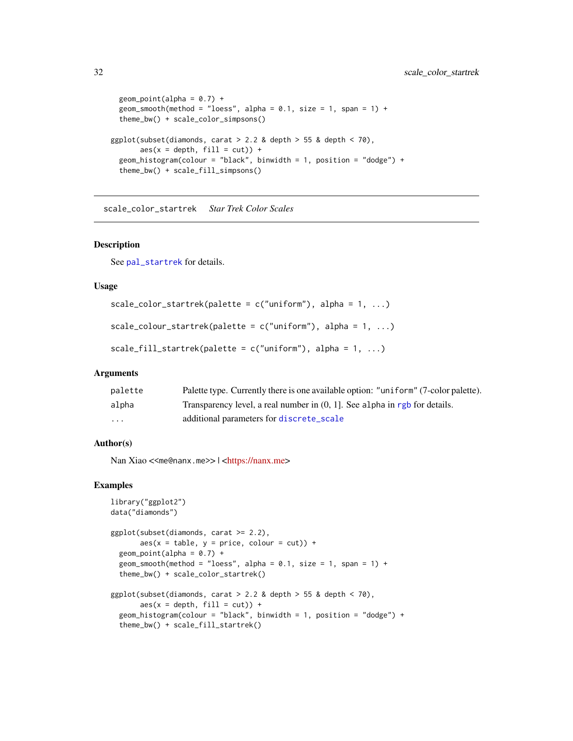```
geom\_point(alpha = 0.7) +
 geom_smooth(method = "loess", alpha = 0.1, size = 1, span = 1) +
 theme_bw() + scale_color_simpsons()
ggplot(subset(diamonds, carat > 2.2 & depth > 55 & depth < 70),
      aes(x = depth, fill = cut)) +geom_histogram(colour = "black", binwidth = 1, position = "dodge") +
 theme_bw() + scale_fill_simpsons()
```
scale\_color\_startrek *Star Trek Color Scales*

#### Description

See [pal\\_startrek](#page-13-1) for details.

#### Usage

```
scale_color_startrek(palette = c("uniform"), alpha = 1, ...)
```

```
scale_colour_startrek(palette = c("uniform"), alpha = 1, ...)
```

```
scale_fill_startrek(palette = c("uniform"), alpha = 1, ...)
```
#### Arguments

| palette | Palette type. Currently there is one available option: "uniform" (7-color palette). |
|---------|-------------------------------------------------------------------------------------|
| alpha   | Transparency level, a real number in $(0, 1)$ . See alpha in rgb for details.       |
| $\cdot$ | additional parameters for discrete_scale                                            |

# Author(s)

Nan Xiao <<me@nanx.me>> | [<https://nanx.me>](https://nanx.me)

```
library("ggplot2")
data("diamonds")
ggplot(subset(diamonds, carat >= 2.2),
       aes(x = table, y = price, colour = cut)) +geom\_point(alpha = 0.7) +geom_smooth(method = "loess", alpha = 0.1, size = 1, span = 1) +
  theme_bw() + scale_color_startrek()
ggplot(subset(diamonds, carat > 2.2 &amp; depth > 55 &amp; depth < 70),\text{aes}(x = \text{depth}, \text{ fill} = \text{cut}) +
  geom_histogram(colour = "black", binwidth = 1, position = "dodge") +
  theme_bw() + scale_fill_startrek()
```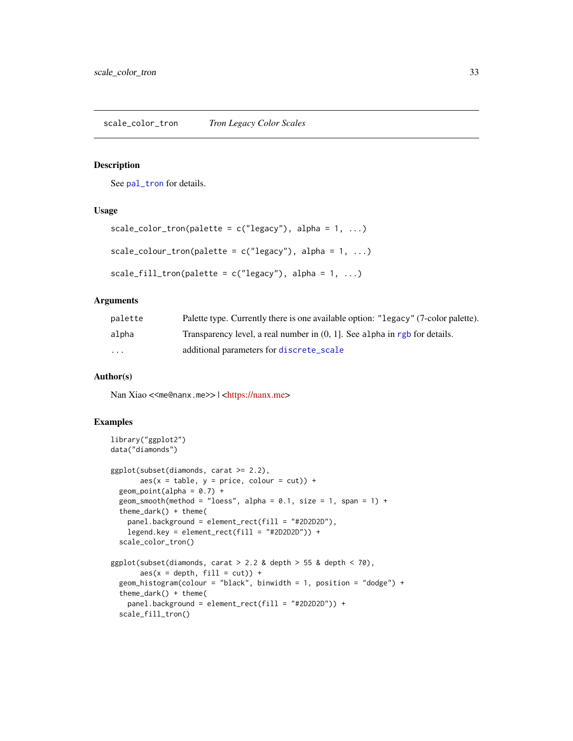<span id="page-32-0"></span>See [pal\\_tron](#page-13-2) for details.

# Usage

```
scale_color_tron(palette = c("legacy"), alpha = 1, ...)scale_colour_tron(palette = c("legacy"), alpha = 1, ...)scale_fill_tron(palette = c("legacy"), alpha = 1, ...)
```
#### **Arguments**

| palette  | Palette type. Currently there is one available option: "Legacy" (7-color palette). |
|----------|------------------------------------------------------------------------------------|
| alpha    | Transparency level, a real number in $(0, 1)$ . See alpha in rgb for details.      |
| $\cdots$ | additional parameters for discrete_scale                                           |

# Author(s)

Nan Xiao <<me@nanx.me>> | [<https://nanx.me>](https://nanx.me)

```
library("ggplot2")
data("diamonds")
ggplot(subset(diamonds, carat >= 2.2),
      aes(x = table, y = price, colour = cut)) +geom\_point(alpha = 0.7) +geom_smooth(method = "loess", alpha = 0.1, size = 1, span = 1) +
 theme_dark() + theme(
   panel.background = element_rect(fill = "#2D2D2D"),
   legend.key = element_rect(fill = "#2D2D2D")) +
 scale_color_tron()
ggplot(subset(diamonds, carat > 2.2 &amp; depth > 55 &amp; depth < 70),aes(x = depth, fill = cut)) +geom_histogram(colour = "black", binwidth = 1, position = "dodge") +
 theme_dark() + theme(
   panel.background = element_rect(fill = "#2D2D2D")) +
 scale_fill_tron()
```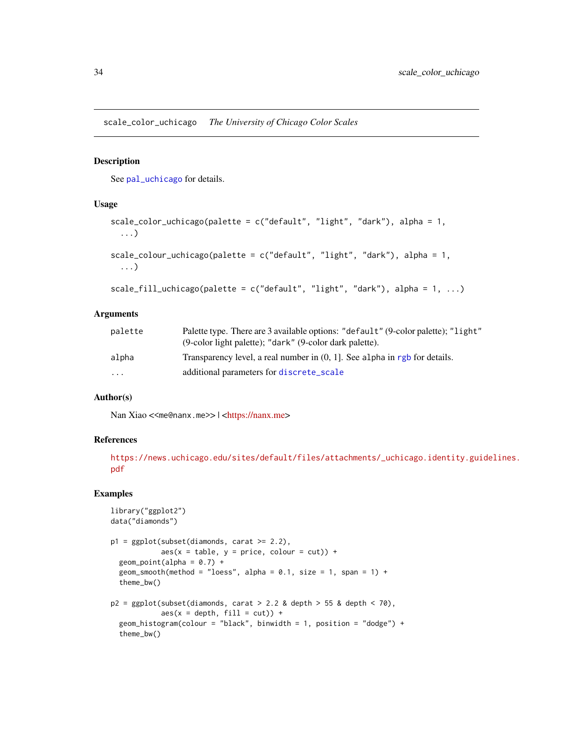<span id="page-33-0"></span>scale\_color\_uchicago *The University of Chicago Color Scales*

#### Description

See [pal\\_uchicago](#page-14-1) for details.

#### Usage

```
scale_color_uchicago(palette = c("default", "light", "dark"), alpha = 1,
  ...)
scale_colour_uchicago(palette = c("default", "light", "dark"), alpha = 1,
  ...)
scale_fill_uchicago(palette = c("default", "light", "dark"), alpha = 1, ...)
```
#### Arguments

| palette | Palette type. There are 3 available options: "default" (9-color palette); "light"<br>(9-color light palette); "dark" (9-color dark palette). |
|---------|----------------------------------------------------------------------------------------------------------------------------------------------|
| alpha   | Transparency level, a real number in $(0, 1)$ . See alpha in rgb for details.                                                                |
| .       | additional parameters for discrete_scale                                                                                                     |

#### Author(s)

Nan Xiao <<me@nanx.me>> | [<https://nanx.me>](https://nanx.me)

#### References

```
https://news.uchicago.edu/sites/default/files/attachments/_uchicago.identity.guidelines.
pdf
```

```
library("ggplot2")
data("diamonds")
p1 = ggplot(subset(diamonds, carat >= 2.2),aes(x = table, y = price, colour = cut)) +geom\_point(alpha = 0.7) +geom_smooth(method = "loess", alpha = 0.1, size = 1, span = 1) +
  theme_bw()
p2 = ggplot(subset(diamonds, carat > 2.2 &amp; depth > 55 &amp; depth < 70),aes(x = depth, fill = cut)) +geom_histogram(colour = "black", binwidth = 1, position = "dodge") +
  theme_bw()
```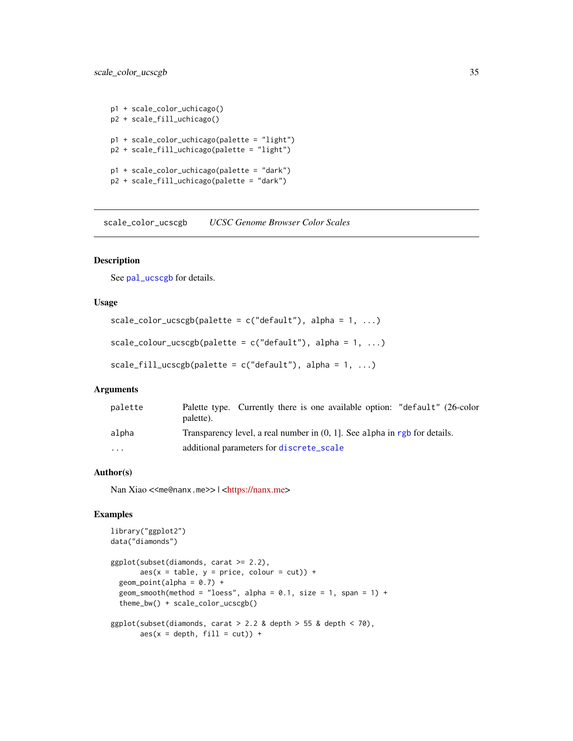```
p1 + scale_color_uchicago()
p2 + scale_fill_uchicago()
p1 + scale_color_uchicago(palette = "light")
p2 + scale_fill_uchicago(palette = "light")
p1 + scale_color_uchicago(palette = "dark")
p2 + scale_fill_uchicago(palette = "dark")
```
scale\_color\_ucscgb *UCSC Genome Browser Color Scales*

#### Description

See [pal\\_ucscgb](#page-15-1) for details.

# Usage

```
scale_color_ucscgb(palette = c("default"), alpha = 1, ...)scale_colour_ucscgb(palette = c("default"), alpha = 1, ...)
```

```
scale_fill_ucscgb(palette = c("default"), alpha = 1, ...)
```
# Arguments

| palette | Palette type. Currently there is one available option: "default" (26-color<br>palette). |
|---------|-----------------------------------------------------------------------------------------|
| alpha   | Transparency level, a real number in $(0, 1)$ . See alpha in rgb for details.           |
| $\cdot$ | additional parameters for discrete_scale                                                |

# Author(s)

Nan Xiao <<me@nanx.me>> | [<https://nanx.me>](https://nanx.me)

```
library("ggplot2")
data("diamonds")
ggplot(subset(diamonds, carat >= 2.2),
       aes(x = table, y = price, colour = cut)) +geom\_point(alpha = 0.7) +
 geom_smooth(method = "loess", alpha = 0.1, size = 1, span = 1) +
 theme_bw() + scale_color_ucscgb()
ggplot(subset(diamonds, carat > 2.2 &amp; depth > 55 &amp; depth < 70),aes(x = depth, fill = cut)) +
```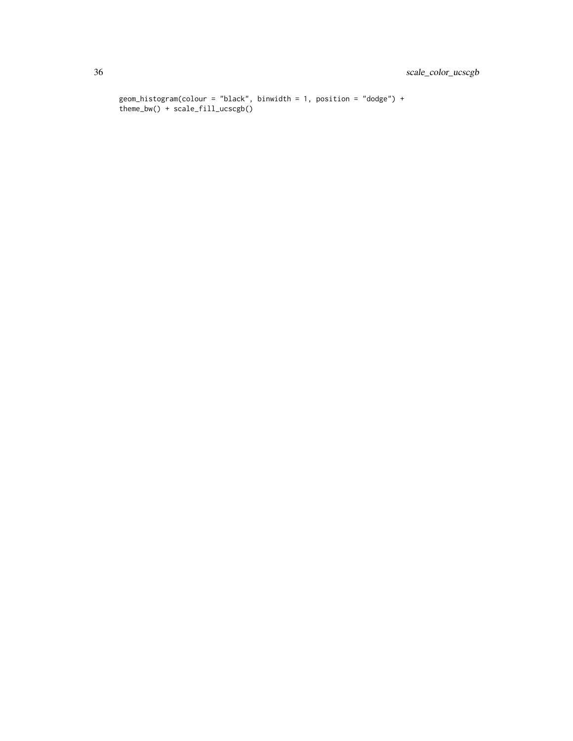```
geom_histogram(colour = "black", binwidth = 1, position = "dodge") +
theme_bw() + scale_fill_ucscgb()
```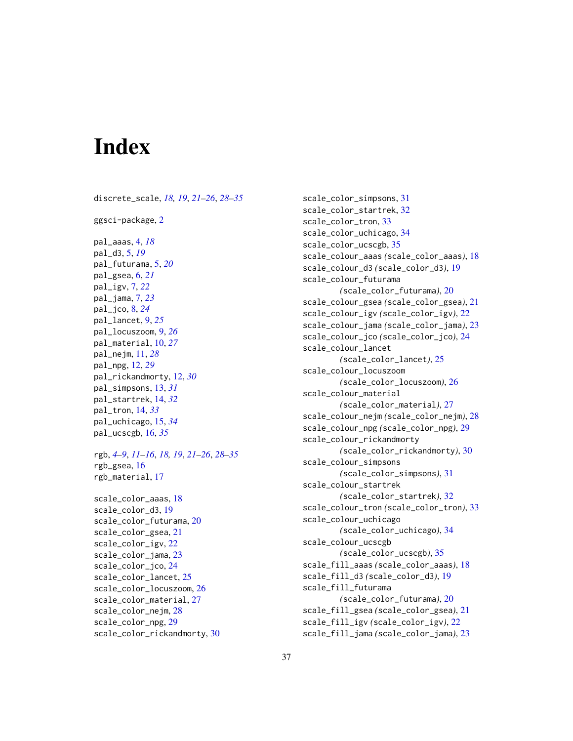# <span id="page-36-0"></span>**Index**

discrete\_scale, *[18,](#page-17-0) [19](#page-18-0)*, *[21–](#page-20-0)[26](#page-25-0)*, *[28–](#page-27-0)[35](#page-34-0)* ggsci-package, [2](#page-1-0) pal\_aaas, [4,](#page-3-0) *[18](#page-17-0)* pal\_d3, [5,](#page-4-0) *[19](#page-18-0)* pal\_futurama, [5,](#page-4-0) *[20](#page-19-0)* pal\_gsea, [6,](#page-5-0) *[21](#page-20-0)* pal\_igv, [7,](#page-6-0) *[22](#page-21-0)* pal\_jama, [7,](#page-6-0) *[23](#page-22-0)* pal\_jco, [8,](#page-7-0) *[24](#page-23-0)* pal\_lancet, [9,](#page-8-0) *[25](#page-24-0)* pal\_locuszoom, [9,](#page-8-0) *[26](#page-25-0)* pal\_material, [10,](#page-9-0) *[27](#page-26-0)* pal\_nejm, [11,](#page-10-0) *[28](#page-27-0)* pal\_npg, [12,](#page-11-0) *[29](#page-28-0)* pal\_rickandmorty, [12,](#page-11-0) *[30](#page-29-0)* pal\_simpsons, [13,](#page-12-0) *[31](#page-30-0)* pal\_startrek, [14,](#page-13-0) *[32](#page-31-0)* pal\_tron, [14,](#page-13-0) *[33](#page-32-0)* pal\_uchicago, [15,](#page-14-0) *[34](#page-33-0)* pal\_ucscgb, [16,](#page-15-0) *[35](#page-34-0)* rgb, *[4](#page-3-0)[–9](#page-8-0)*, *[11](#page-10-0)[–16](#page-15-0)*, *[18,](#page-17-0) [19](#page-18-0)*, *[21–](#page-20-0)[26](#page-25-0)*, *[28–](#page-27-0)[35](#page-34-0)* rgb\_gsea, [16](#page-15-0) rgb\_material, [17](#page-16-0) scale\_color\_aaas, [18](#page-17-0) scale\_color\_d3, [19](#page-18-0) scale\_color\_futurama, [20](#page-19-0) scale\_color\_gsea, [21](#page-20-0) scale\_color\_igv, [22](#page-21-0) scale\_color\_jama, [23](#page-22-0) scale\_color\_jco, [24](#page-23-0) scale\_color\_lancet, [25](#page-24-0) scale\_color\_locuszoom, [26](#page-25-0) scale\_color\_material, [27](#page-26-0) scale\_color\_nejm, [28](#page-27-0) scale\_color\_npg, [29](#page-28-0) scale\_color\_rickandmorty, [30](#page-29-0)

scale\_color\_simpsons, [31](#page-30-0) scale\_color\_startrek, [32](#page-31-0) scale\_color\_tron, [33](#page-32-0) scale\_color\_uchicago, [34](#page-33-0) scale\_color\_ucscgb, [35](#page-34-0) scale\_colour\_aaas *(*scale\_color\_aaas*)*, [18](#page-17-0) scale\_colour\_d3 *(*scale\_color\_d3*)*, [19](#page-18-0) scale\_colour\_futurama *(*scale\_color\_futurama*)*, [20](#page-19-0) scale\_colour\_gsea *(*scale\_color\_gsea*)*, [21](#page-20-0) scale\_colour\_igv *(*scale\_color\_igv*)*, [22](#page-21-0) scale\_colour\_jama *(*scale\_color\_jama*)*, [23](#page-22-0) scale\_colour\_jco *(*scale\_color\_jco*)*, [24](#page-23-0) scale\_colour\_lancet *(*scale\_color\_lancet*)*, [25](#page-24-0) scale\_colour\_locuszoom *(*scale\_color\_locuszoom*)*, [26](#page-25-0) scale\_colour\_material *(*scale\_color\_material*)*, [27](#page-26-0) scale\_colour\_nejm *(*scale\_color\_nejm*)*, [28](#page-27-0) scale\_colour\_npg *(*scale\_color\_npg*)*, [29](#page-28-0) scale\_colour\_rickandmorty *(*scale\_color\_rickandmorty*)*, [30](#page-29-0) scale\_colour\_simpsons *(*scale\_color\_simpsons*)*, [31](#page-30-0) scale\_colour\_startrek *(*scale\_color\_startrek*)*, [32](#page-31-0) scale\_colour\_tron *(*scale\_color\_tron*)*, [33](#page-32-0) scale\_colour\_uchicago *(*scale\_color\_uchicago*)*, [34](#page-33-0) scale\_colour\_ucscgb *(*scale\_color\_ucscgb*)*, [35](#page-34-0) scale\_fill\_aaas *(*scale\_color\_aaas*)*, [18](#page-17-0) scale\_fill\_d3 *(*scale\_color\_d3*)*, [19](#page-18-0) scale\_fill\_futurama *(*scale\_color\_futurama*)*, [20](#page-19-0) scale\_fill\_gsea *(*scale\_color\_gsea*)*, [21](#page-20-0) scale\_fill\_igv *(*scale\_color\_igv*)*, [22](#page-21-0) scale\_fill\_jama *(*scale\_color\_jama*)*, [23](#page-22-0)